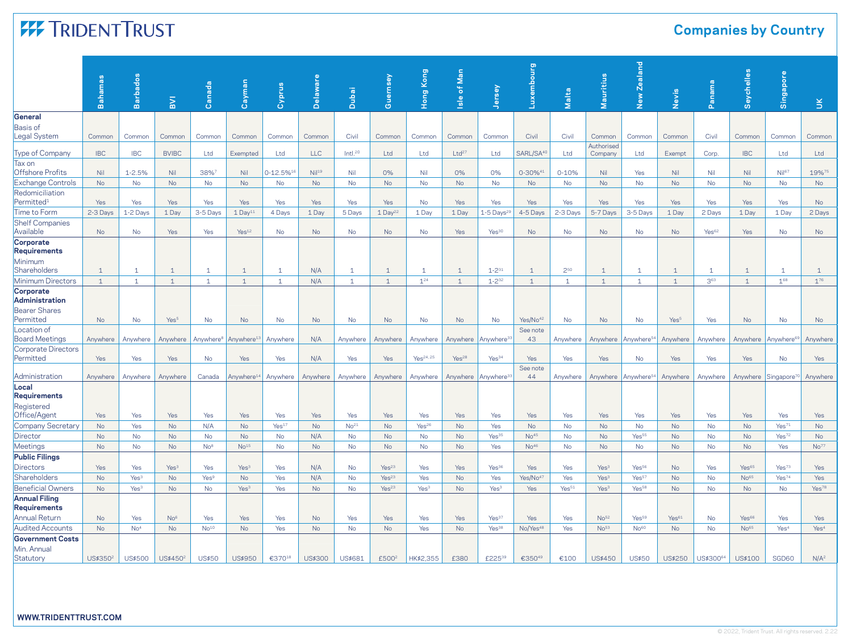# **FF TRIDENTTRUST**

### **Companies by Country**

|                   | Common                                                                                                                                                                                                                                                                                                                                                         |
|-------------------|----------------------------------------------------------------------------------------------------------------------------------------------------------------------------------------------------------------------------------------------------------------------------------------------------------------------------------------------------------------|
| Ltd               | Ltd                                                                                                                                                                                                                                                                                                                                                            |
|                   |                                                                                                                                                                                                                                                                                                                                                                |
|                   | 19%75                                                                                                                                                                                                                                                                                                                                                          |
|                   | <b>No</b>                                                                                                                                                                                                                                                                                                                                                      |
| Yes               | No                                                                                                                                                                                                                                                                                                                                                             |
| 1 Day             | 2 Days                                                                                                                                                                                                                                                                                                                                                         |
|                   |                                                                                                                                                                                                                                                                                                                                                                |
| No                | <b>No</b>                                                                                                                                                                                                                                                                                                                                                      |
| $\mathbf{1}$      | $\mathbf{1}$                                                                                                                                                                                                                                                                                                                                                   |
| $1^{68}$          | $1^{76}$                                                                                                                                                                                                                                                                                                                                                       |
|                   |                                                                                                                                                                                                                                                                                                                                                                |
| No                | <b>No</b>                                                                                                                                                                                                                                                                                                                                                      |
|                   | Anywhere                                                                                                                                                                                                                                                                                                                                                       |
|                   |                                                                                                                                                                                                                                                                                                                                                                |
| No                | Yes                                                                                                                                                                                                                                                                                                                                                            |
|                   | Anywhere                                                                                                                                                                                                                                                                                                                                                       |
|                   |                                                                                                                                                                                                                                                                                                                                                                |
| Yes               | Yes                                                                                                                                                                                                                                                                                                                                                            |
| Yes <sup>71</sup> | <b>No</b>                                                                                                                                                                                                                                                                                                                                                      |
| Yes <sup>72</sup> | <b>No</b>                                                                                                                                                                                                                                                                                                                                                      |
| Yes               | No <sup>77</sup>                                                                                                                                                                                                                                                                                                                                               |
|                   |                                                                                                                                                                                                                                                                                                                                                                |
| Yes <sup>73</sup> | Yes                                                                                                                                                                                                                                                                                                                                                            |
| Yes <sup>74</sup> | Yes                                                                                                                                                                                                                                                                                                                                                            |
| No                | Yes <sup>78</sup>                                                                                                                                                                                                                                                                                                                                              |
|                   |                                                                                                                                                                                                                                                                                                                                                                |
| Yes               | Yes                                                                                                                                                                                                                                                                                                                                                            |
| Yes <sup>4</sup>  | Yes <sup>4</sup>                                                                                                                                                                                                                                                                                                                                               |
|                   |                                                                                                                                                                                                                                                                                                                                                                |
| SGD60             | $N/A^2$                                                                                                                                                                                                                                                                                                                                                        |
|                   | Common<br>Common<br><b>IBC</b><br>Nil <sup>67</sup><br>Nil<br><b>No</b><br>No<br>Yes<br>1 Day<br>Yes<br>$\mathbf{1}$<br>$\mathbf{1}$<br>No<br>Anywhere<br>Anywhere <sup>69</sup><br>Yes<br>Anywhere Singapore <sup>70</sup><br>Yes<br><b>No</b><br>No<br>No<br>Yes <sup>65</sup><br>No <sup>65</sup><br>No<br>Yes <sup>66</sup><br>No <sup>65</sup><br>US\$100 |